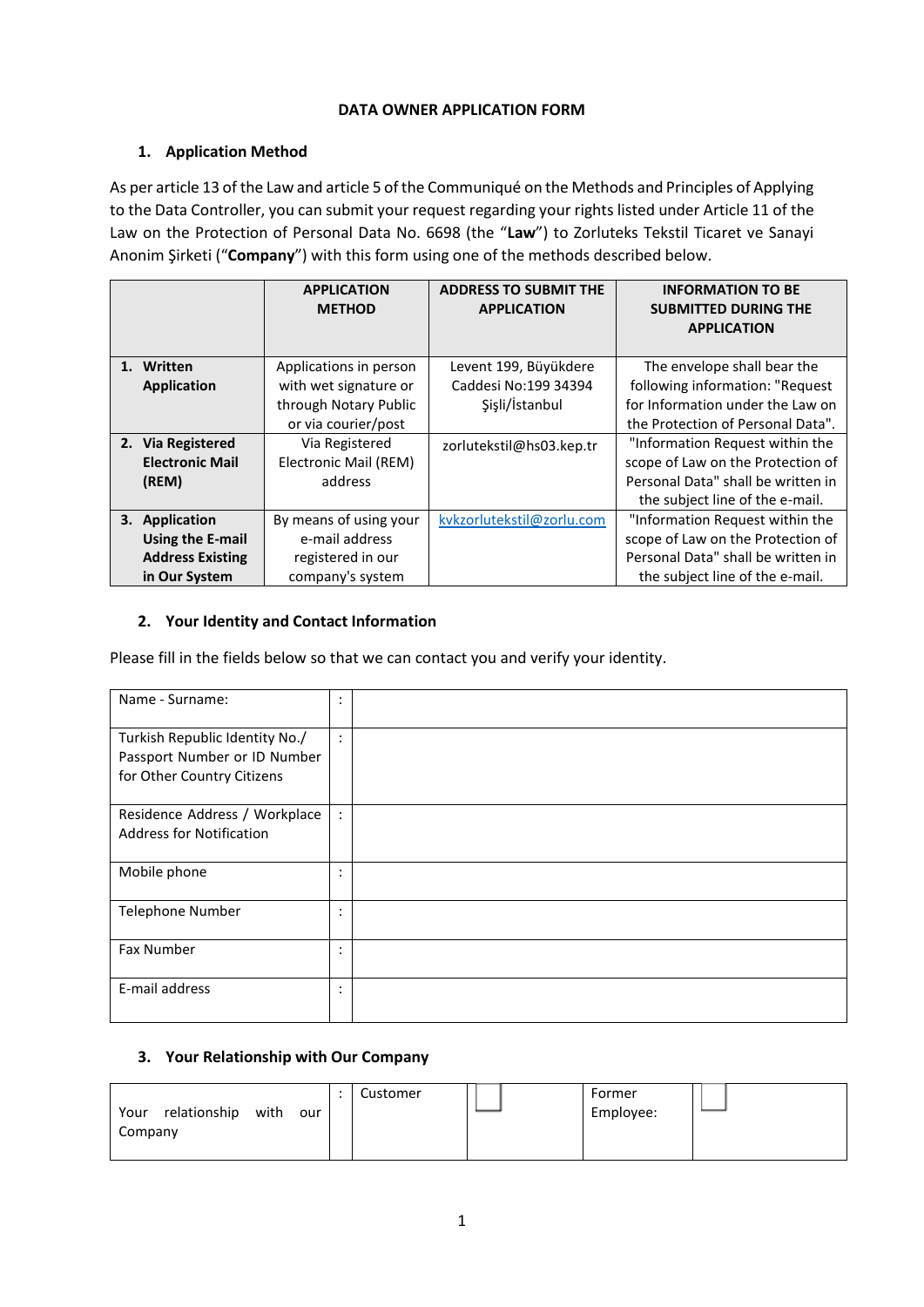# **DATA OWNER APPLICATION FORM**

# **1. Application Method**

As per article 13 of the Law and article 5 of the Communiqué on the Methods and Principles of Applying to the Data Controller, you can submit your request regarding your rights listed under Article 11 of the Law on the Protection of Personal Data No. 6698 (the "**Law**") to Zorluteks Tekstil Ticaret ve Sanayi Anonim Şirketi ("**Company**") with this form using one of the methods described below.

|                         | <b>APPLICATION</b><br><b>METHOD</b> | <b>ADDRESS TO SUBMIT THE</b><br><b>APPLICATION</b> | <b>INFORMATION TO BE</b><br><b>SUBMITTED DURING THE</b><br><b>APPLICATION</b> |
|-------------------------|-------------------------------------|----------------------------------------------------|-------------------------------------------------------------------------------|
| 1. Written              | Applications in person              | Levent 199, Büyükdere                              | The envelope shall bear the                                                   |
| <b>Application</b>      | with wet signature or               | Caddesi No:199 34394                               | following information: "Request                                               |
|                         | through Notary Public               | Şişli/İstanbul                                     | for Information under the Law on                                              |
|                         | or via courier/post                 |                                                    | the Protection of Personal Data".                                             |
| 2. Via Registered       | Via Registered                      | zorlutekstil@hs03.kep.tr                           | "Information Request within the                                               |
| <b>Electronic Mail</b>  | Electronic Mail (REM)               |                                                    | scope of Law on the Protection of                                             |
| (REM)                   | address                             |                                                    | Personal Data" shall be written in                                            |
|                         |                                     |                                                    | the subject line of the e-mail.                                               |
| 3. Application          | By means of using your              | kvkzorlutekstil@zorlu.com                          | "Information Request within the                                               |
| Using the E-mail        | e-mail address                      |                                                    | scope of Law on the Protection of                                             |
| <b>Address Existing</b> | registered in our                   |                                                    | Personal Data" shall be written in                                            |
| in Our System           | company's system                    |                                                    | the subject line of the e-mail.                                               |

### **2. Your Identity and Contact Information**

Please fill in the fields below so that we can contact you and verify your identity.

| Name - Surname:                                                                              | ٠<br>$\bullet$       |  |
|----------------------------------------------------------------------------------------------|----------------------|--|
| Turkish Republic Identity No./<br>Passport Number or ID Number<br>for Other Country Citizens | $\bullet$<br>$\cdot$ |  |
| Residence Address / Workplace<br><b>Address for Notification</b>                             | $\ddot{\cdot}$       |  |
| Mobile phone                                                                                 | ٠<br>٠               |  |
| <b>Telephone Number</b>                                                                      | ٠<br>٠               |  |
| <b>Fax Number</b>                                                                            | ٠<br>٠               |  |
| E-mail address                                                                               | ٠<br>٠               |  |

# **3. Your Relationship with Our Company**

| with<br>relationship<br>Your<br>our | Customer | Former<br>Employee: |  |
|-------------------------------------|----------|---------------------|--|
| Company                             |          |                     |  |